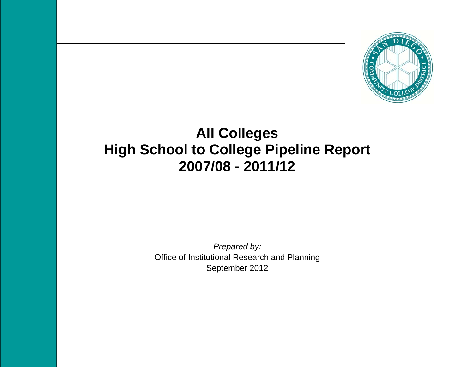

# **All Colleges High School to College Pipeline Report 2007/08 - 2011/12**

*Prepared by:*  Office of Institutional Research and Planning September 2012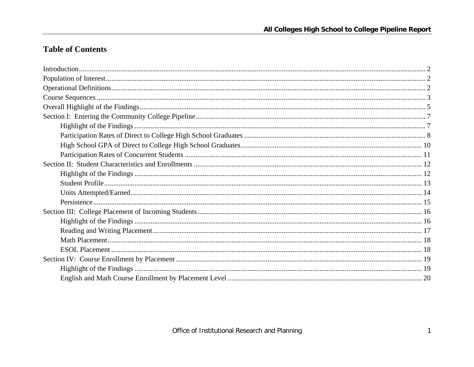## **Table of Contents**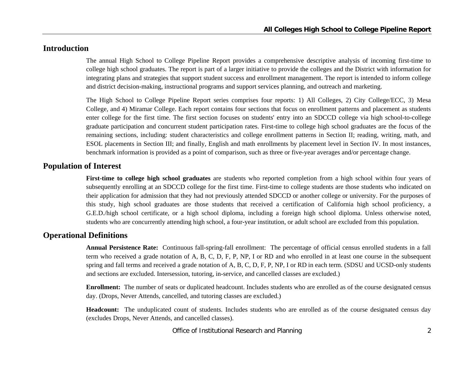## **Introduction**

The annual High School to College Pipeline Report provides a comprehensive descriptive analysis of incoming first-time to college high school graduates. The report is part of a larger initiative to provide the colleges and the District with information for integrating plans and strategies that support student success and enrollment management. The report is intended to inform college and district decision-making, instructional programs and support services planning, and outreach and marketing.

The High School to College Pipeline Report series comprises four reports: 1) All Colleges, 2) City College/ECC, 3) Mesa College, and 4) Miramar College. Each report contains four sections that focus on enrollment patterns and placement as students enter college for the first time. The first section focuses on students' entry into an SDCCD college via high school-to-college graduate participation and concurrent student participation rates. First-time to college high school graduates are the focus of the remaining sections, including: student characteristics and college enrollment patterns in Section II; reading, writing, math, and ESOL placements in Section III; and finally, English and math enrollments by placement level in Section IV. In most instances, benchmark information is provided as a point of comparison, such as three or five-year averages and/or percentage change.

#### **Population of Interest**

**First-time to college high school graduates** are students who reported completion from a high school within four years of subsequently enrolling at an SDCCD college for the first time. First-time to college students are those students who indicated on their application for admission that they had not previously attended SDCCD or another college or university. For the purposes of this study, high school graduates are those students that received a certification of California high school proficiency, a G.E.D./high school certificate, or a high school diploma, including a foreign high school diploma. Unless otherwise noted, students who are concurrently attending high school, a four-year institution, or adult school are excluded from this population.

## **Operational Definitions**

**Annual Persistence Rate:** Continuous fall-spring-fall enrollment: The percentage of official census enrolled students in a fall term who received a grade notation of A, B, C, D, F, P, NP, I or RD and who enrolled in at least one course in the subsequent spring and fall terms and received a grade notation of A, B, C, D, F, P, NP, I or RD in each term. (SDSU and UCSD-only students and sections are excluded. Intersession, tutoring, in-service, and cancelled classes are excluded.)

**Enrollment:** The number of seats or duplicated headcount. Includes students who are enrolled as of the course designated census day. (Drops, Never Attends, cancelled, and tutoring classes are excluded.)

**Headcount:** The unduplicated count of students. Includes students who are enrolled as of the course designated census day (excludes Drops, Never Attends, and cancelled classes).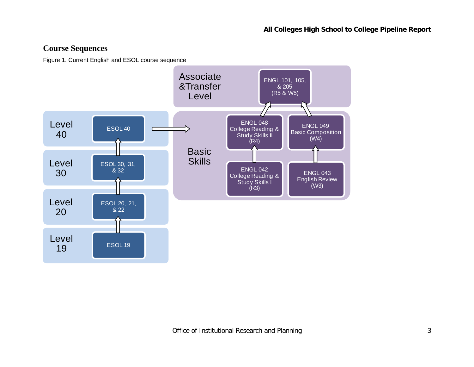## **Course Sequences**

Figure 1. Current English and ESOL course sequence

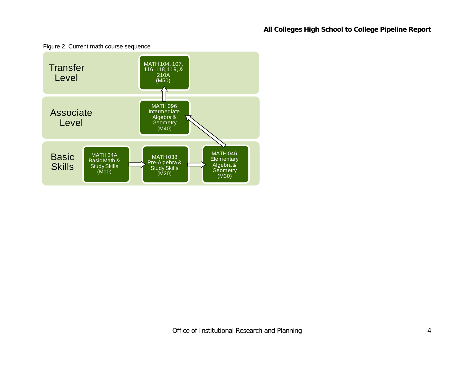

Figure 2. Current math course sequence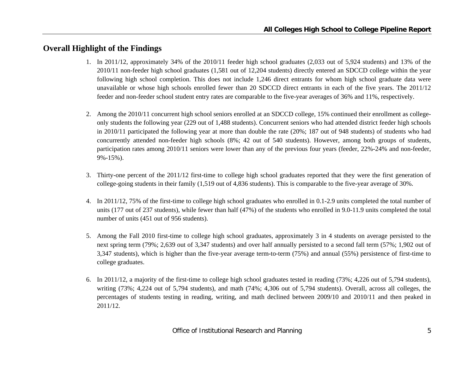## **Overall Highlight of the Findings**

- 1. In 2011/12, approximately 34% of the 2010/11 feeder high school graduates (2,033 out of 5,924 students) and 13% of the 2010/11 non-feeder high school graduates (1,581 out of 12,204 students) directly entered an SDCCD college within the year following high school completion. This does not include 1,246 direct entrants for whom high school graduate data were unavailable or whose high schools enrolled fewer than 20 SDCCD direct entrants in each of the five years. The 2011/12 feeder and non-feeder school student entry rates are comparable to the five-year averages of 36% and 11%, respectively.
- 2. Among the 2010/11 concurrent high school seniors enrolled at an SDCCD college, 15% continued their enrollment as collegeonly students the following year (229 out of 1,488 students). Concurrent seniors who had attended district feeder high schools in 2010/11 participated the following year at more than double the rate (20%; 187 out of 948 students) of students who had concurrently attended non-feeder high schools (8%; 42 out of 540 students). However, among both groups of students, participation rates among 2010/11 seniors were lower than any of the previous four years (feeder, 22%-24% and non-feeder, 9%-15%).
- 3. Thirty-one percent of the 2011/12 first-time to college high school graduates reported that they were the first generation of college-going students in their family (1,519 out of 4,836 students). This is comparable to the five-year average of 30%.
- 4. In 2011/12, 75% of the first-time to college high school graduates who enrolled in 0.1-2.9 units completed the total number of units (177 out of 237 students), while fewer than half (47%) of the students who enrolled in 9.0-11.9 units completed the total number of units (451 out of 956 students).
- 5. Among the Fall 2010 first-time to college high school graduates, approximately 3 in 4 students on average persisted to the next spring term (79%; 2,639 out of 3,347 students) and over half annually persisted to a second fall term (57%; 1,902 out of 3,347 students), which is higher than the five-year average term-to-term (75%) and annual (55%) persistence of first-time to college graduates.
- 6. In 2011/12, a majority of the first-time to college high school graduates tested in reading (73%; 4,226 out of 5,794 students), writing (73%; 4,224 out of 5,794 students), and math (74%; 4,306 out of 5,794 students). Overall, across all colleges, the percentages of students testing in reading, writing, and math declined between 2009/10 and 2010/11 and then peaked in 2011/12.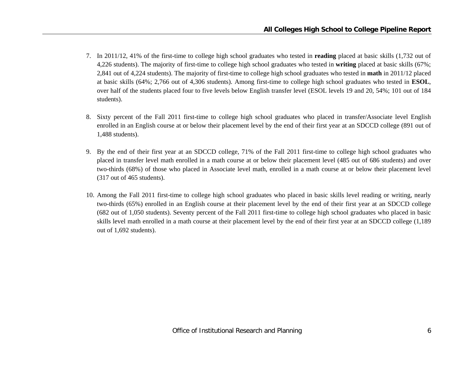- 7. In 2011/12, 41% of the first-time to college high school graduates who tested in **reading** placed at basic skills (1,732 out of 4,226 students). The majority of first-time to college high school graduates who tested in **writing** placed at basic skills (67%; 2,841 out of 4,224 students). The majority of first-time to college high school graduates who tested in **math** in 2011/12 placed at basic skills (64%; 2,766 out of 4,306 students). Among first-time to college high school graduates who tested in **ESOL**, over half of the students placed four to five levels below English transfer level (ESOL levels 19 and 20, 54%; 101 out of 184 students).
- 8. Sixty percent of the Fall 2011 first-time to college high school graduates who placed in transfer/Associate level English enrolled in an English course at or below their placement level by the end of their first year at an SDCCD college (891 out of 1,488 students).
- 9. By the end of their first year at an SDCCD college, 71% of the Fall 2011 first-time to college high school graduates who placed in transfer level math enrolled in a math course at or below their placement level (485 out of 686 students) and over two-thirds (68%) of those who placed in Associate level math, enrolled in a math course at or below their placement level (317 out of 465 students).
- 10. Among the Fall 2011 first-time to college high school graduates who placed in basic skills level reading or writing, nearly two-thirds (65%) enrolled in an English course at their placement level by the end of their first year at an SDCCD college (682 out of 1,050 students). Seventy percent of the Fall 2011 first-time to college high school graduates who placed in basic skills level math enrolled in a math course at their placement level by the end of their first year at an SDCCD college (1,189 out of 1,692 students).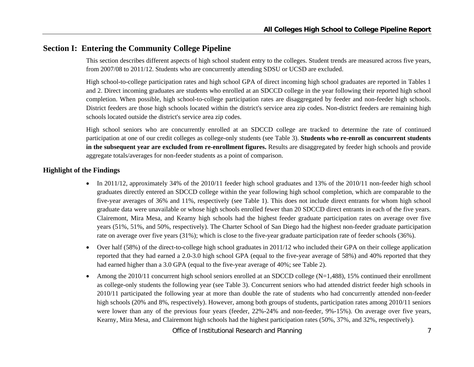## **Section I: Entering the Community College Pipeline**

This section describes different aspects of high school student entry to the colleges. Student trends are measured across five years, from 2007/08 to 2011/12. Students who are concurrently attending SDSU or UCSD are excluded.

High school-to-college participation rates and high school GPA of direct incoming high school graduates are reported in Tables 1 and 2. Direct incoming graduates are students who enrolled at an SDCCD college in the year following their reported high school completion. When possible, high school-to-college participation rates are disaggregated by feeder and non-feeder high schools. District feeders are those high schools located within the district's service area zip codes. Non-district feeders are remaining high schools located outside the district's service area zip codes.

High school seniors who are concurrently enrolled at an SDCCD college are tracked to determine the rate of continued participation at one of our credit colleges as college-only students (see Table 3). **Students who re-enroll as concurrent students in the subsequent year are excluded from re-enrollment figures.** Results are disaggregated by feeder high schools and provide aggregate totals/averages for non-feeder students as a point of comparison.

#### **Highlight of the Findings**

- In 2011/12, approximately 34% of the 2010/11 feeder high school graduates and 13% of the 2010/11 non-feeder high school graduates directly entered an SDCCD college within the year following high school completion, which are comparable to the five-year averages of 36% and 11%, respectively (see Table 1). This does not include direct entrants for whom high school graduate data were unavailable or whose high schools enrolled fewer than 20 SDCCD direct entrants in each of the five years. Clairemont, Mira Mesa, and Kearny high schools had the highest feeder graduate participation rates on average over five years (51%, 51%, and 50%, respectively). The Charter School of San Diego had the highest non-feeder graduate participation rate on average over five years (31%); which is close to the five-year graduate participation rate of feeder schools (36%).
- $\bullet$  Over half (58%) of the direct-to-college high school graduates in 2011/12 who included their GPA on their college application reported that they had earned a 2.0-3.0 high school GPA (equal to the five-year average of 58%) and 40% reported that they had earned higher than a 3.0 GPA (equal to the five-year average of 40%; see Table 2).
- 0 Among the 2010/11 concurrent high school seniors enrolled at an SDCCD college ( $N=1,488$ ), 15% continued their enrollment as college-only students the following year (see Table 3). Concurrent seniors who had attended district feeder high schools in 2010/11 participated the following year at more than double the rate of students who had concurrently attended non-feeder high schools (20% and 8%, respectively). However, among both groups of students, participation rates among 2010/11 seniors were lower than any of the previous four years (feeder, 22%-24% and non-feeder, 9%-15%). On average over five years, Kearny, Mira Mesa, and Clairemont high schools had the highest participation rates (50%, 37%, and 32%, respectively).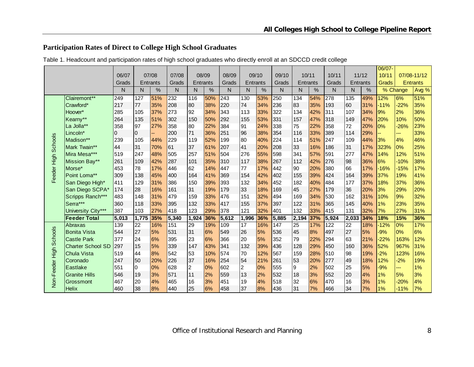### **Participation Rates of Direct to College High School Graduates**

|                     |                          |       |       |          |       |                |       |              |                |       |       |                 |      |       |                 |      | 06/07- |                  |                 |
|---------------------|--------------------------|-------|-------|----------|-------|----------------|-------|--------------|----------------|-------|-------|-----------------|------|-------|-----------------|------|--------|------------------|-----------------|
|                     |                          | 06/07 |       | 07/08    | 07/08 |                | 08/09 | 08/09        |                | 09/10 | 09/10 | 10/11           |      | 10/11 | 11/12           |      | 10/11  |                  | 07/08-11/12     |
|                     |                          | Grads |       | Entrants | Grads | Entrants       |       | Grads        | Entrants       |       | Grads | Entrants        |      | Grads | <b>Entrants</b> |      | Grads  |                  | <b>Entrants</b> |
|                     |                          | N     | N     | $\%$     | N     | N              | $\%$  | $\mathsf{N}$ | N              | $\%$  | N     | N               | $\%$ | N     | N               | $\%$ |        | % Change         | Avg %           |
|                     | Clairemont**             | 249   | 127   | 51%      | 232   | 116            | 50%   | 243          | 130            | 53%   | 250   | 134             | 54%  | 278   | 135             | 49%  | 12%    | $\overline{6\%}$ | 51%             |
|                     | Crawford*                | 217   | 77    | 35%      | 208   | 80             | 38%   | 220          | 74             | 34%   | 236   | 83              | 35%  | 193   | 60              | 31%  | $-11%$ | $-22%$           | 35%             |
|                     | Hoover*                  | 285   | 105   | 37%      | 273   | 92             | 34%   | 343          | 113            | 33%   | 322   | 134             | 42%  | 311   | 107             | 34%  | 9%     | 2%               | 36%             |
|                     | Kearny**                 | 264   | 135   | 51%      | 302   | 150            | 50%   | 292          | 155            | 53%   | 331   | 157             | 47%  | 318   | 149             | 47%  | 20%    | 10%              | 50%             |
|                     | La Jolla**               | 358   | 97    | 27%      | 358   | 80             | 22%   | 384          | 91             | 24%   | 338   | 75              | 22%  | 358   | 72              | 20%  | 0%     | $-26%$           | 23%             |
|                     | Lincoln*                 | 0     | IO.   |          | 200   | 71             | 36%   | 251          | 96             | 38%   | 354   | 116             | 33%  | 389   | 114             | 29%  |        | ---              | 33%             |
|                     | Madison**                | 239   | 105   | 44%      | 229   | 119            | 52%   | 199          | 80             | 40%   | 224   | 114             | 51%  | 247   | 109             | 44%  | 3%     | 4%               | 46%             |
| Feeder High Schools | Mark Twain**             | 44    | 31    | 70%      | 61    | 37             | 61%   | 207          | 41             | 20%   | 208   | 33              | 16%  | 186   | 31              | 17%  | 323%   | 0%               | 25%             |
|                     | Mira Mesa***             | 519   | 247   | 48%      | 505   | 257            | 51%   | 504          | 276            | 55%   | 598   | 341             | 57%  | 591   | 277             | 47%  | 14%    | 12%              | 51%             |
|                     | Mission Bay**            | 261   | 109   | 42%      | 287   | 101            | 35%   | 310          | 117            | 38%   | 267   | 112             | 42%  | 276   | 98              | 36%  | 6%     | $-10%$           | 38%             |
|                     | Morse*                   | 453   | 78    | 17%      | 446   | 62             | 14%   | 447          | 77             | 17%   | 442   | 90              | 20%  | 380   | 66              | 17%  | $-16%$ | $-15%$           | 17%             |
|                     | Point Loma**             | 309   | 138   | 45%      | 400   | 164            | 41%   | 369          | 154            | 42%   | 402   | 155             | 39%  | 424   | 164             | 39%  | 37%    | 19%              | 41%             |
|                     | San Diego High*          | 411   | 129   | 31%      | 386   | 150            | 39%   | 393          | 132            | 34%   | 452   | 182             | 40%  | 484   | 177             | 37%  | 18%    | 37%              | 36%             |
|                     | San Diego SCPA*          | 174   | 28    | 16%      | 161   | 31             | 19%   | 179          | 33             | 18%   | 169   | 45              | 27%  | 179   | 36              | 20%  | 3%     | 29%              | 20%             |
|                     | Scripps Ranch***         | 483   | 148   | 31%      | 479   | 159            | 33%   | 476          | 151            | 32%   | 494   | 169             | 34%  | 530   | 162             | 31%  | 10%    | 9%               | 32%             |
|                     | Serra***                 | 360   | 118   | 33%      | 395   | 132            | 33%   | 417          | 155            | 37%   | 397   | 122             | 31%  | 365   | 145             | 40%  | 1%     | 23%              | 35%             |
|                     | University City***       | 387   | 103   | 27%      | 418   | 123            | 29%   | 378          | 121            | 32%   | 401   | 132             | 33%  | 415   | 131             | 32%  | 7%     | 27%              | 31%             |
|                     | <b>Feeder Total</b>      | 5,013 | 1,775 | 35%      | 5,340 | 1,924          | 36%   | 5,612        | 1,996          | 36%   | 5,885 | 2,194           | 37%  | 5,924 | 2,033           | 34%  | 18%    | 15%              | 36%             |
|                     | Abraxas                  | 139   | 22    | 16%      | 151   | 29             | 19%   | 109          | 17             | 16%   | 147   | $\overline{25}$ | 17%  | 122   | $\overline{22}$ | 18%  | $-12%$ | 0%               | 17%             |
| <b>Schools</b>      | <b>Bonita Vista</b>      | 544   | 27    | 5%       | 531   | 31             | 6%    | 549          | 26             | 5%    | 536   | 45              | 8%   | 497   | 27              | 5%   | $-9%$  | 0%               | 6%              |
|                     | <b>Castle Park</b>       | 377   | 24    | 6%       | 395   | 23             | 6%    | 366          | 20             | 5%    | 352   | 79              | 22%  | 294   | 63              | 21%  | $-22%$ | 163%             | 12%             |
|                     | <b>Charter School SD</b> | 297   | 15    | 5%       | 339   | 147            | 43%   | 341          | 132            | 39%   | 436   | 128             | 29%  | 450   | 160             | 36%  | 52%    | 967%             | 31%             |
|                     | <b>Chula Vista</b>       | 519   | 44    | 8%       | 542   | 53             | 10%   | 574          | 70             | 12%   | 567   | 159             | 28%  | 510   | 98              | 19%  | $-2%$  | 123%             | 16%             |
|                     | Coronado                 | 247   | 50    | 20%      | 226   | 37             | 16%   | 254          | 54             | 21%   | 261   | 53              | 20%  | 277   | 49              | 18%  | 12%    | $-2%$            | 19%             |
| Non-Feeder High     | <b>Eastlake</b>          | 551   | 10    | 0%       | 628   | $\overline{2}$ | 0%    | 602          | $\overline{a}$ | 0%    | 555   | 9               | 2%   | 502   | 25              | 5%   | $-9%$  | ---              | 1%              |
|                     | <b>Granite Hills</b>     | 546   | 19    | 3%       | 571   | 11             | 2%    | 559          | 13             | 2%    | 532   | 18              | 3%   | 552   | 20              | 4%   | 1%     | 5%               | 3%              |
|                     | Grossmont                | 467   | 20    | 4%       | 465   | 16             | 3%    | 451          | 19             | 4%    | 518   | 32              | 6%   | 470   | 16              | 3%   | 1%     | $-20%$           | 4%              |
|                     | <b>Helix</b>             | 460   | 38    | 8%       | 440   | 25             | 6%    | 458          | 37             | 8%    | 436   | 31              | 7%   | 466   | 34              | 7%   | 1%     | $-11%$           | 7%              |

Table 1. Headcount and participation rates of high school graduates who directly enroll at an SDCCD credit college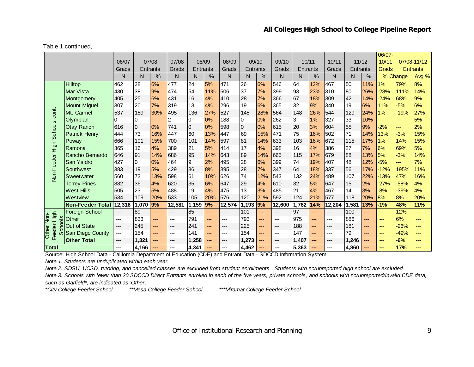Table 1 continued,

|                      |                              | 06/07                         |                | 07/08    | 07/08          |                 | 08/09         | 08/09  |                | 09/10 | 09/10  | 10/11           |     | 10/11  | 11/12           |     | 06/07-<br>10/11 |          | 07/08-11/12     |
|----------------------|------------------------------|-------------------------------|----------------|----------|----------------|-----------------|---------------|--------|----------------|-------|--------|-----------------|-----|--------|-----------------|-----|-----------------|----------|-----------------|
|                      |                              | Grads                         |                | Entrants | Grads          | <b>Entrants</b> |               | Grads  | Entrants       |       | Grads  | Entrants        |     | Grads  | <b>Entrants</b> |     | Grads           |          | <b>Entrants</b> |
|                      |                              | N                             | N              | $\%$     | N              | N               | $\frac{0}{0}$ | N      | N              | %     | N      | N               | %   | N      | N               | %   |                 | % Change | Avg %           |
|                      |                              |                               |                |          |                |                 |               |        |                |       |        |                 |     |        |                 |     |                 |          |                 |
|                      | Hilltop                      | 462                           | 28             | 6%       | 477            | 24              | 5%            | 471    | 26             | 6%    | 546    | 64              | 12% | 467    | 50              | 11% | 1%              | 79%      | 8%              |
|                      | Mar Vista                    | 430                           | 38             | 9%       | 474            | 54              | 11%           | 506    | 37             | 7%    | 399    | 93              | 23% | 310    | 80              | 26% | $-28%$          | 111%     | 14%             |
|                      | Montgomery                   | 405                           | 25             | 6%       | 431            | 16              | 4%            | 410    | 28             | 7%    | 366    | 67              | 18% | 309    | 42              | 14% | $-24%$          | 68%      | 9%              |
|                      | <b>Mount Miguel</b>          | 307                           | 20             | 7%       | 319            | 13              | 4%            | 296    | 19             | 6%    | 365    | 32              | 9%  | 340    | 19              | 6%  | 11%             | $-5%$    | 6%              |
| cont.                | Mt. Carmel                   | 537                           | 159            | 30%      | 495            | 136             | 27%           | 527    | 145            | 28%   | 564    | 148             | 26% | 544    | 129             | 24% | 1%              | $-19%$   | 27%             |
|                      | Olympian                     |                               | 10             |          | $\overline{2}$ | 10              | 0%            | 188    | IO.            | 0%    | 262    | 3               | 1%  | 327    | 33              | 10% |                 | ---      | 5%              |
| <b>Schools</b>       | <b>Otay Ranch</b>            | 616                           | $\overline{0}$ | 0%       | 741            | 0               | 0%            | 598    | $\overline{0}$ | 0%    | 615    | 20              | 3%  | 604    | 55              | 9%  | $-2%$           | ---      | 2%              |
|                      | <b>Patrick Henry</b>         | 444                           | 73             | 16%      | 447            | 60              | 13%           | 447    | 69             | 15%   | 471    | 75              | 16% | 502    | 71              | 14% | 13%             | $-3%$    | 15%             |
|                      | Poway                        | 666                           | 101            | 15%      | 700            | 101             | 14%           | 597    | 81             | 14%   | 633    | 103             | 16% | 672    | 115             | 17% | 1%              | 14%      | 15%             |
|                      | Ramona                       | 365                           | 16             | 4%       | 389            | 21              | 5%            | 414    | 17             | 4%    | 398    | 16              | 4%  | 386    | 27              | 7%  | 6%              | 69%      | 5%              |
| Non-Feeder High      | Rancho Bernardo              | 646                           | 91             | 14%      | 686            | 95              | 14%           | 643    | 89             | 14%   | 665    | 115             | 17% | 679    | 88              | 13% | 5%              | $-3%$    | 14%             |
|                      | San Ysidro                   | 427                           | l0             | 0%       | 464            | 9               | 2%            | 495    | 28             | 6%    | 399    | 74              | 19% | 407    | 48              | 12% | $-5%$           | ---      | 7%              |
|                      | Southwest                    | 383                           | 19             | 5%       | 429            | 36              | 8%            | 395    | 28             | 7%    | 347    | 64              | 18% | 337    | 56              | 17% | $-12%$          | 195%     | 11%             |
|                      | Sweetwater                   | 560                           | 73             | 13%      | 598            | 61              | 10%           | 626    | 74             | 12%   | 543    | 132             | 24% | 489    | 107             | 22% | $-13%$          | 47%      | 16%             |
|                      | <b>Torrey Pines</b>          | 882                           | 36             | 4%       | 620            | 35              | 6%            | 647    | 29             | 4%    | 610    | 32              | 5%  | 647    | 15              | 2%  | $-27%$          | -58%     | 4%              |
|                      | <b>West Hills</b>            | 505                           | 23             | 5%       | 488            | 19              | 4%            | 475    | 13             | 3%    | 485    | 21              | 4%  | 467    | 14              | 3%  | $-8%$           | $-39%$   | 4%              |
|                      | Westview                     | 534                           | 109            | 20%      | 533            | 105             | 20%           | 576    | 120            | 21%   | 592    | 124             | 21% | 577    | 118             | 20% | 8%              | 8%       | 20%             |
|                      | <b>Non-Feeder Total</b>      | 12,316                        | 1,070          | 9%       | 12,581         | 1,159 9%        |               | 12,574 | 1,193          | 9%    | 12,600 | 1,762           | 14% | 12,204 | 1,581           | 13% | $-1%$           | 48%      | 11%             |
|                      | <b>Foreign School</b>        | ---                           | 89             | ---      | ---            | 85              | ---           | ---    | 101            | ---   | ---    | $\overline{97}$ | --- | ---    | 100             | --- | ---             | 12%      | $---$           |
| High                 | $rac{8}{10}$<br><b>Other</b> | $---$                         | 833            | ---      | ---            | 791             | ---           | $---$  | 793            | ---   | ---    | 975             | --- | ---    | 886             | --- | ---             | 6%       | ---             |
|                      | ဥ<br>Out of State            | $\hspace{1.5cm} \textbf{---}$ | 245            | ---      | $---$          | 241             | ---           | $---$  | 225            | $---$ | ---    | 188             | --- | ---    | 181             | --- | ---             | $-26%$   | ---             |
| Other Non-<br>Feeder | San Diego County<br>ഗ        | ---                           | 154            | ---      | ---            | 141             | ---           | $---$  | 154            | ---   | ---    | 147             | --- | ---    | 79              | --- | ---             | $-49%$   | ---             |
|                      | <b>Other Total</b>           | ---                           | 1,321          | ---      | ---            | 1,258           | ---           | ---    | 1,273          | ---   | ---    | 1,407           | --- | ---    | 1,246           | --- | ---             | $-6%$    | ---             |
| <b>Total</b>         |                              | ---                           | 4.166          |          | ---            | 4.341           | ---           |        | 4.462          | ---   |        | 5.363           |     |        | 4.860           | --- |                 | 17%      |                 |

<mark>TotaI | 4,166 | -- | 4,341 | -- | 4,462 | -- | -- |5,363 | -- | -- |4,860 | --- | --<br>Source: High School Data - California Department of Education (CDE) and Entrant Data </mark>

*Note 1. Students are unduplicated within each year.*

*Note 2. SDSU, UCSD, tutoring, and cancelled classes are excluded from student enrollments. Students with no/unreported high school are excluded.*

*Note 3. Schools with fewer than 20 SDCCD Direct Entrants enrolled in each of the five years, private schools, and schools with no/unreported/invalid CDE data, such as Garfield\*, are indicated as 'Other'.*

*\*City College Feeder School \*\*Mesa College Feeder School \*\*\*Miramar College Feeder School*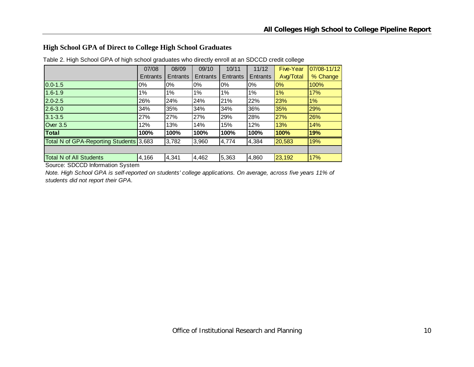#### **High School GPA of Direct to College High School Graduates**

|                                         | 07/08    | 08/09    | 09/10    | 10/11    | 11/12    | <b>Five-Year</b> | 07/08-11/12 |
|-----------------------------------------|----------|----------|----------|----------|----------|------------------|-------------|
|                                         | Entrants | Entrants | Entrants | Entrants | Entrants | Avg/Total        | % Change    |
| $0.0 - 1.5$                             | $0\%$    | $0\%$    | $0\%$    | $0\%$    | $0\%$    | $0\%$            | 100%        |
| $1.6 - 1.9$                             | 1%       | 1%       | 1%       | 1%       | 1%       | 1%               | 17%         |
| $2.0 - 2.5$                             | 26%      | 24%      | 24%      | 21%      | 22%      | 23%              | 1%          |
| $2.6 - 3.0$                             | 34%      | 35%      | 34%      | 34%      | 36%      | 35%              | 29%         |
| $3.1 - 3.5$                             | 27%      | 27%      | 27%      | 29%      | 28%      | 27%              | 26%         |
| <b>Over 3.5</b>                         | 12%      | 13%      | 14%      | 15%      | 12%      | 13%              | 14%         |
| Total                                   | 100%     | 100%     | 100%     | 100%     | 100%     | 100%             | 19%         |
| Total N of GPA-Reporting Students 3,683 |          | 3,782    | 3,960    | 4,774    | 4,384    | 20,583           | 19%         |
|                                         |          |          |          |          |          |                  |             |
| <b>Total N of All Students</b>          | 4,166    | 4,341    | 4,462    | 5,363    | 4,860    | 23,192           | 17%         |

Table 2. High School GPA of high school graduates who directly enroll at an SDCCD credit college

Source: SDCCD Information System

*Note. High School GPA is self-reported on students' college applications. On average, across five years 11% of students did not report their GPA.*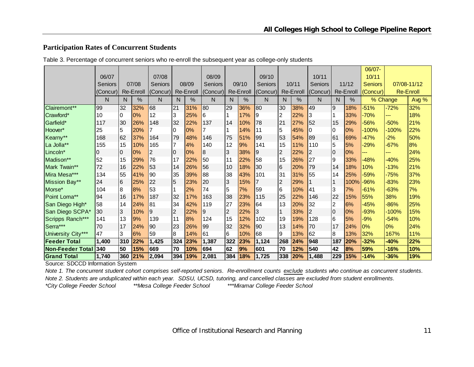#### **Participation Rates of Concurrent Students**

|                     |                |     |                  |                |                |           |          |                |                  |                |                |           |                |     |           | 06/07-         |          |                  |
|---------------------|----------------|-----|------------------|----------------|----------------|-----------|----------|----------------|------------------|----------------|----------------|-----------|----------------|-----|-----------|----------------|----------|------------------|
|                     | 06/07          |     |                  | 07/08          |                |           | 08/09    |                |                  | 09/10          |                |           | 10/11          |     |           | 10/11          |          |                  |
|                     | <b>Seniors</b> |     | 07/08            | <b>Seniors</b> |                | 08/09     | Seniors  |                | 09/10            | <b>Seniors</b> |                | 10/11     | <b>Seniors</b> |     | 11/12     | <b>Seniors</b> |          | 07/08-11/12      |
|                     | (Concur)       |     | <b>Re-Enroll</b> | (Concur)       |                | Re-Enroll | (Concur) |                | <b>Re-Enroll</b> | (Concur)       |                | Re-Enroll | (Concur)       |     | Re-Enroll | (Concur)       |          | <b>Re-Enroll</b> |
|                     | N              | N   | $\%$             | N              | N              | $\%$      | N        | N              | %                | N              | N              | %         | N              | N   | $\%$      |                | % Change | Avg %            |
| Clairemont**        | 99             | 32  | 32%              | 68             | 21             | 31%       | 80       | 29             | 36%              | 80             | 30             | 38%       | 49             | 9   | 18%       | $-51%$         | $-72%$   | 32%              |
| Crawford*           | 10             | I0  | 0%               | 12             | 3              | 25%       | 6        |                | 17%              | 9              | $\overline{2}$ | 22%       | 13             |     | 33%       | 70%            | ---      | 18%              |
| Garfield*           | 117            | 30  | 26%              | 148            | 32             | 22%       | 137      | 14             | 10%              | 78             | 21             | 27%       | 52             | 15  | 29%       | 56%            | $-50%$   | 21%              |
| Hoover*             | 25             | 5   | 20%              |                | 0              | 0%        |          |                | 14%              | 11             | 5              | 45%       |                | 10  | 0%        | $-100%$        | $-100%$  | 22%              |
| Kearny**            | 168            | 162 | 37%              | 164            | 79             | 48%       | 146      | 75             | 51%              | 99             | 53             | 54%       | 89             | 61  | 69%       | $-47%$         | $-2%$    | 50%              |
| La Jolla**          | 155            | 15  | 10%              | 165            | 7              | 4%        | 140      | 12             | 9%               | 141            | 15             | 11%       | 110            | 5   | 5%        | $-29%$         | $-67%$   | 8%               |
| Lincoln*            |                | 10  | 10%              | 2              | l0             | 0%        | 8        | 3              | 38%              | 9              | 2              | 22%       | 2              | 0   | 0%        | ---            | ---      | 24%              |
| Madison**           | 52             | 15  | 29%              | 76             | 17             | 22%       | 50       | 11             | 22%              | 58             | 15             | 26%       | 27             | 9   | 33%       | $-48%$         | $-40%$   | 25%              |
| Mark Twain**        | 72             | 16  | 22%              | 53             | 14             | 26%       | 56       | l 10           | 18%              | 30             | 6              | 20%       | 79             | 14  | 18%       | 10%            | $-13%$   | 21%              |
| Mira Mesa***        | 134            | 55  | 41%              | 90             | 35             | 39%       | 88       | 38             | 43%              | 101            | 31             | 31%       | 55             | 14  | 25%       | -59%           | $-75%$   | 37%              |
| Mission Bay**       | 24             | 16  | 25%              | 22             | 5              | 23%       | 20       | 3              | 15%              |                | $\overline{2}$ | 29%       |                |     | 100%      | -96%           | $-83%$   | 23%              |
| Morse*              | 104            | 8   | 8%               | 53             |                | 2%        | 74       | 5              | 7%               | 59             | 6              | 10%       | 41             | 3   | 7%        | $-61%$         | $-63%$   | 7%               |
| Point Loma**        | 94             | 16  | 17%              | 187            | 32             | 17%       | 163      | 38             | 23%              | 115            | 25             | 22%       | 146            | 22  | 15%       | 55%            | 38%      | 19%              |
| San Diego High*     | 58             | 14  | 24%              | 81             | 34             | 42%       | 119      | 27             | 23%              | 64             | 13             | 20%       | 32             | 2   | 6%        | $-45%$         | $-86%$   | 25%              |
| San Diego SCPA*     | 30             | 3   | 10%              | 9              | $\overline{2}$ | 22%       | 9        | $\overline{2}$ | 22%              | 3              |                | 33%       | 2              | 10  | 0%        | $-93%$         | $-100%$  | 15%              |
| Scripps Ranch***    | 141            | 13  | 9%               | 139            | 11             | 8%        | 124      | 15             | 12%              | 102            | 19             | 19%       | 128            | 6   | 5%        | $-9%$          | $-54%$   | 10%              |
| Serra***            | 70             | 17  | 24%              | 90             | 23             | 26%       | 99       | 32             | 32%              | 90             | 13             | 14%       | 70             | 17  | 24%       | 0%             | 0%       | 24%              |
| University City***  | 47             | 3   | 6%               | 59             | 8              | 14%       | 61       | 16             | 10%              | 68             | 9              | 13%       | 62             | 8   | 13%       | 32%            | 167%     | 11%              |
| <b>Feeder Total</b> | 1,400          | 310 | 22%              | 1,425          | 324            | 23%       | 1,387    | 322            | 23%              | 1,124          | 268            | 24%       | 948            | 187 | 20%       | $-32%$         | $-40%$   | 22%              |
| lNon-Feeder Total   | 340            | 50  | 15%              | 669            | 70             | 10%       | 694      | 62             | 9%               | 601            | 70             | 12%       | 540            | 42  | 8%        | 59%            | $-16%$   | 10%              |
| <b>Grand Total</b>  | 1,740          | 360 | 21%              | 2,094          | 394            | 19%       | 2,081    | 384            | 18%              | 1,725          | 338            | 20%       | 1,488          | 229 | 15%       | $-14%$         | $-36%$   | 19%              |

Table 3. Percentage of concurrent seniors who re-enroll the subsequent year as college-only students

Source: SDCCD Information System

*Note 1. The concurrent student cohort comprises self-reported seniors. Re-enrollment counts exclude students who continue as concurrent students.* 

*Note 2. Students are unduplicated within each year. SDSU, UCSD, tutoring, and cancelled classes are excluded from student enrollments.* 

*\*City College Feeder School \*\*Mesa College Feeder School \*\*\*Miramar College Feeder School*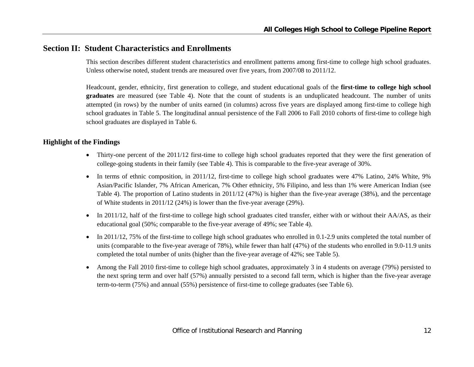## **Section II: Student Characteristics and Enrollments**

This section describes different student characteristics and enrollment patterns among first-time to college high school graduates. Unless otherwise noted, student trends are measured over five years, from 2007/08 to 2011/12.

Headcount, gender, ethnicity, first generation to college, and student educational goals of the **first-time to college high school graduates** are measured (see Table 4). Note that the count of students is an unduplicated headcount. The number of units attempted (in rows) by the number of units earned (in columns) across five years are displayed among first-time to college high school graduates in Table 5. The longitudinal annual persistence of the Fall 2006 to Fall 2010 cohorts of first-time to college high school graduates are displayed in Table 6.

#### **Highlight of the Findings**

- Thirty-one percent of the 2011/12 first-time to college high school graduates reported that they were the first generation of college-going students in their family (see Table 4). This is comparable to the five-year average of 30%.
- In terms of ethnic composition, in 2011/12, first-time to college high school graduates were 47% Latino, 24% White, 9% Asian/Pacific Islander, 7% African American, 7% Other ethnicity, 5% Filipino, and less than 1% were American Indian (see Table 4). The proportion of Latino students in 2011/12 (47%) is higher than the five-year average (38%), and the percentage of White students in 2011/12 (24%) is lower than the five-year average (29%).
- $\bullet$  In 2011/12, half of the first-time to college high school graduates cited transfer, either with or without their AA/AS, as their educational goal (50%; comparable to the five-year average of 49%; see Table 4).
- $\bullet$  In 2011/12, 75% of the first-time to college high school graduates who enrolled in 0.1-2.9 units completed the total number of units (comparable to the five-year average of 78%), while fewer than half (47%) of the students who enrolled in 9.0-11.9 units completed the total number of units (higher than the five-year average of 42%; see Table 5).
- 0 Among the Fall 2010 first-time to college high school graduates, approximately 3 in 4 students on average (79%) persisted to the next spring term and over half (57%) annually persisted to a second fall term, which is higher than the five-year average term-to-term (75%) and annual (55%) persistence of first-time to college graduates (see Table 6).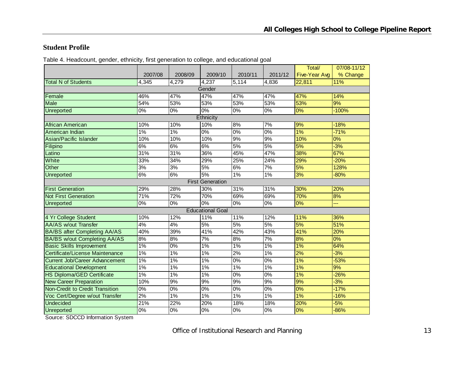#### **Student Profile**

Table 4. Headcount, gender, ethnicity, first generation to college, and educational goal

|                                        |         |                   |                         |         |         | Total/               | 07/08-11/12 |
|----------------------------------------|---------|-------------------|-------------------------|---------|---------|----------------------|-------------|
|                                        | 2007/08 | 2008/09           | 2009/10                 | 2010/11 | 2011/12 | <b>Five-Year Avg</b> | % Change    |
| <b>Total N of Students</b>             | 4,345   | 4,279             | 4,237                   | 5,114   | 4,836   | 22,811               | 11%         |
|                                        |         |                   | Gender                  |         |         |                      |             |
| Female                                 | 46%     | 47%               | 47%                     | 47%     | 47%     | 47%                  | 14%         |
| <b>Male</b>                            | 54%     | 53%               | 53%                     | 53%     | 53%     | 53%                  | 9%          |
| <b>Unreported</b>                      | 0%      | 0%                | $\overline{0\%}$        | 0%      | 0%      | 0%                   | $-100%$     |
|                                        |         |                   | Ethnicity               |         |         |                      |             |
| African American                       | 10%     | 10%               | 10%                     | 8%      | 7%      | 9%                   | $-18%$      |
| American Indian                        | $1\%$   | $1\%$             | 0%                      | $0\%$   | 0%      | 1%                   | $-71%$      |
| Asian/Pacific Islander                 | 10%     | 10%               | 10%                     | 9%      | 9%      | 10%                  | $0\%$       |
| Filipino                               | 6%      | 6%                | 6%                      | 5%      | 5%      | 5%                   | $-3%$       |
| Latino                                 | 31%     | $\overline{31\%}$ | 36%                     | 45%     | 47%     | 38%                  | 67%         |
| White                                  | 33%     | 34%               | 29%                     | 25%     | 24%     | 29%                  | $-20%$      |
| Other                                  | 3%      | 3%                | 5%                      | 6%      | 7%      | 5%                   | 128%        |
| Unreported                             | 6%      | 6%                | 5%                      | 1%      | 1%      | 3%                   | $-80%$      |
|                                        |         |                   | <b>First Generation</b> |         |         |                      |             |
| <b>First Generation</b>                | 29%     | 28%               | 30%                     | 31%     | 31%     | 30%                  | 20%         |
| <b>Not First Generation</b>            | 71%     | 72%               | 70%                     | 69%     | 69%     | 70%                  | 8%          |
| <b>Unreported</b>                      | 0%      | 0%                | $0\%$                   | 0%      | 0%      | 0%                   | ---         |
|                                        |         |                   | <b>Educational Goal</b> |         |         |                      |             |
| 4 Yr College Student                   | 10%     | 12%               | 11%                     | 11%     | 12%     | 11%                  | 36%         |
| <b>AA/AS w/out Transfer</b>            | 4%      | 4%                | 5%                      | 5%      | 5%      | 5%                   | 51%         |
| <b>BA/BS after Completing AA/AS</b>    | 40%     | 39%               | 41%                     | 42%     | 43%     | 41%                  | 20%         |
| <b>BA/BS w/out Completing AA/AS</b>    | 8%      | 8%                | 7%                      | 8%      | 7%      | 8%                   | 0%          |
| <b>Basic Skills Improvement</b>        | 1%      | 0%                | $1\%$                   | $1\%$   | $1\%$   | 1%                   | 64%         |
| Certificate/License Maintenance        | 1%      | 1%                | 1%                      | 2%      | 1%      | 2%                   | $-3%$       |
| <b>Current Job/Career Advancement</b>  | 1%      | 1%                | 1%                      | 0%      | 0%      | 1%                   | $-53%$      |
| <b>Educational Development</b>         | 1%      | 1%                | $1\%$                   | $1\%$   | 1%      | 1%                   | 9%          |
| HS Diploma/GED Certificate             | 1%      | 1%                | 1%                      | $0\%$   | 0%      | 1%                   | $-26%$      |
| <b>New Career Preparation</b>          | 10%     | 9%                | 9%                      | 9%      | 9%      | 9%                   | $-3%$       |
| <b>Non-Credit to Credit Transition</b> | 0%      | 0%                | 0%                      | 0%      | 0%      | 0%                   | $-17%$      |
| Voc Cert/Degree w/out Transfer         | 2%      | $1\%$             | $1\%$                   | 1%      | 1%      | 1%                   | $-16%$      |
| <b>Undecided</b>                       | 21%     | 22%               | 20%                     | 18%     | 18%     | 20%                  | $-5%$       |
| Unreported                             | $0\%$   | 0%                | $\overline{0\%}$        | $0\%$   | $0\%$   | 0%                   | $-86%$      |

Source: SDCCD Information System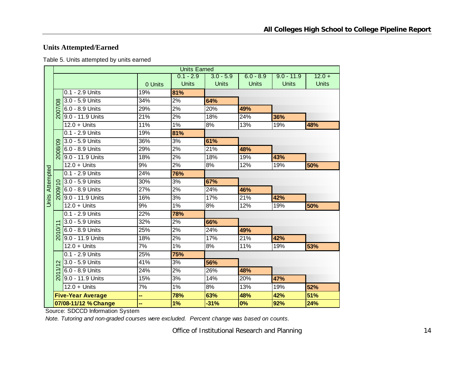## **Units Attempted/Earned**

Table 5. Units attempted by units earned

|                        |                   |                          |         | <b>Units Earned</b> |              |              |              |              |
|------------------------|-------------------|--------------------------|---------|---------------------|--------------|--------------|--------------|--------------|
|                        |                   |                          |         | $0.1 - 2.9$         | $3.0 - 5.9$  | $6.0 - 8.9$  | $9.0 - 11.9$ | $12.0 +$     |
|                        |                   |                          | 0 Units | <b>Units</b>        | <b>Units</b> | <b>Units</b> | <b>Units</b> | <b>Units</b> |
|                        |                   | 0.1 - 2.9 Units          | 19%     | 81%                 |              |              |              |              |
|                        |                   | 3.0 - 5.9 Units          | 34%     | 2%                  | 64%          |              |              |              |
|                        | 2007/08           | 6.0 - 8.9 Units          | 29%     | 2%                  | 20%          | 49%          |              |              |
|                        |                   | 9.0 - 11.9 Units         | 21%     | 2%                  | 18%          | 24%          | 36%          |              |
|                        |                   | $12.0 +$ Units           | 11%     | 1%                  | 8%           | 13%          | 19%          | 48%          |
|                        |                   | 0.1 - 2.9 Units          | 19%     | 81%                 |              |              |              |              |
|                        |                   | 3.0 - 5.9 Units          | 36%     | 3%                  | 61%          |              |              |              |
|                        | 2008/09           | 6.0 - 8.9 Units          | 29%     | 2%                  | 21%          | 48%          |              |              |
|                        |                   | 9.0 - 11.9 Units         | 18%     | 2%                  | 18%          | 19%          | 43%          |              |
|                        |                   | $12.0 +$ Units           | 9%      | 2%                  | 8%           | 12%          | 19%          | 50%          |
|                        |                   | 0.1 - 2.9 Units          | 24%     | 76%                 |              |              |              |              |
|                        |                   | 3.0 - 5.9 Units          | 30%     | 3%                  | 67%          |              |              |              |
| <b>Units Attempted</b> | 2009              | 6.0 - 8.9 Units          | 27%     | 2%                  | 24%          | 46%          |              |              |
|                        |                   | 9.0 - 11.9 Units         | 16%     | 3%                  | 17%          | 21%          | 42%          |              |
|                        |                   | $12.0 +$ Units           | 9%      | 1%                  | 8%           | 12%          | 19%          | 50%          |
|                        |                   | 0.1 - 2.9 Units          | 22%     | 78%                 |              |              |              |              |
|                        |                   | 3.0 - 5.9 Units          | 32%     | 2%                  | 66%          |              |              |              |
|                        | ð                 | 6.0 - 8.9 Units          | 25%     | 2%                  | 24%          | 49%          |              |              |
|                        | $\overline{5}$    | 9.0 - 11.9 Units         | 18%     | 2%                  | 17%          | 21%          | 42%          |              |
|                        |                   | $12.0 +$ Units           | 7%      | 1%                  | 8%           | 11%          | 19%          | 53%          |
|                        |                   | 0.1 - 2.9 Units          | 25%     | 75%                 |              |              |              |              |
|                        | $\mathbf{\Omega}$ | 3.0 - 5.9 Units          | 41%     | 3%                  | 56%          |              |              |              |
|                        |                   | 6.0 - 8.9 Units          | 24%     | 2%                  | 26%          | 48%          |              |              |
|                        | $\overline{5}$    | 9.0 - 11.9 Units         | 15%     | 3%                  | 14%          | 20%          | 47%          |              |
|                        |                   | $12.0 +$ Units           | 7%      | 1%                  | 8%           | 13%          | 19%          | 52%          |
|                        |                   | <b>Five-Year Average</b> |         | 78%                 | 63%          | 48%          | 42%          | 51%          |
|                        |                   | 07/08-11/12 % Change     |         | 1%                  | $-31%$       | 0%           | 92%          | 24%          |

Source: SDCCD Information System

*Note. Tutoring and non-graded courses were excluded. Percent change was based on counts.*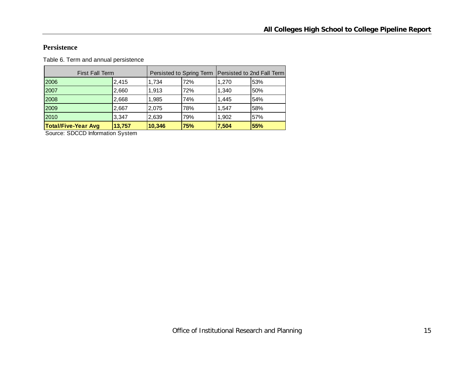#### **Persistence**

Table 6. Term and annual persistence

| <b>First Fall Term</b>     |        |        | Persisted to Spring Term   Persisted to 2nd Fall Term |       |     |
|----------------------------|--------|--------|-------------------------------------------------------|-------|-----|
| 2006                       | 2,415  | 1,734  | 72%                                                   | 1.270 | 53% |
| 2007                       | 2,660  | 1.913  | 72%                                                   | 1.340 | 50% |
| 2008                       | 2,668  | 1.985  | 74%                                                   | 1.445 | 54% |
| 2009                       | 2,667  | 2,075  | 78%                                                   | 1,547 | 58% |
| 2010                       | 3,347  | 2,639  | 79%                                                   | 1,902 | 57% |
| <b>Total/Five-Year Avg</b> | 13,757 | 10,346 | 75%                                                   | 7,504 | 55% |

Source: SDCCD Information System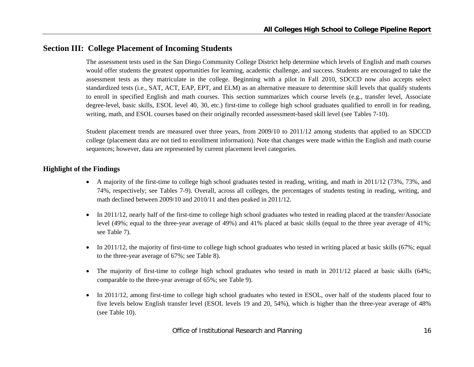## **Section III: College Placement of Incoming Students**

The assessment tests used in the San Diego Community College District help determine which levels of English and math courses would offer students the greatest opportunities for learning, academic challenge, and success. Students are encouraged to take the assessment tests as they matriculate in the college. Beginning with a pilot in Fall 2010, SDCCD now also accepts select standardized tests (i.e., SAT, ACT, EAP, EPT, and ELM) as an alternative measure to determine skill levels that qualify students to enroll in specified English and math courses. This section summarizes which course levels (e.g., transfer level, Associate degree-level, basic skills, ESOL level 40, 30, etc.) first-time to college high school graduates qualified to enroll in for reading, writing, math, and ESOL courses based on their originally recorded assessment-based skill level (see Tables 7-10).

Student placement trends are measured over three years, from 2009/10 to 2011/12 among students that applied to an SDCCD college (placement data are not tied to enrollment information). Note that changes were made within the English and math course sequences; however, data are represented by current placement level categories.

#### **Highlight of the Findings**

- A majority of the first-time to college high school graduates tested in reading, writing, and math in 2011/12 (73%, 73%, and 74%, respectively; see Tables 7-9). Overall, across all colleges, the percentages of students testing in reading, writing, and math declined between 2009/10 and 2010/11 and then peaked in 2011/12.
- $\bullet$  In 2011/12, nearly half of the first-time to college high school graduates who tested in reading placed at the transfer/Associate level (49%; equal to the three-year average of 49%) and 41% placed at basic skills (equal to the three year average of 41%; see Table 7).
- In 2011/12, the majority of first-time to college high school graduates who tested in writing placed at basic skills (67%; equal to the three-year average of 67%; see Table 8).
- $\bullet$  The majority of first-time to college high school graduates who tested in math in 2011/12 placed at basic skills (64%; comparable to the three-year average of 65%; see Table 9).
- $\bullet$  In 2011/12, among first-time to college high school graduates who tested in ESOL, over half of the students placed four to five levels below English transfer level (ESOL levels 19 and 20, 54%), which is higher than the three-year average of 48% (see Table 10).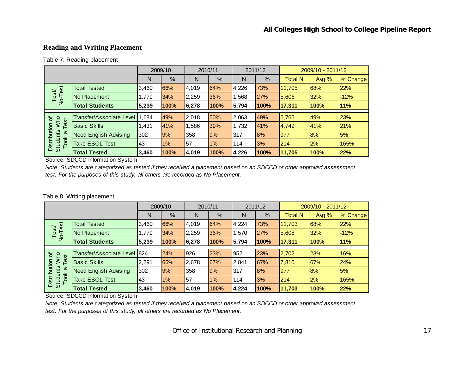### **Reading and Writing Placement**

#### Table 7. Reading placement

|                                         |                              |       | 2009/10 |       | 2010/11 |       | 2011/12 |                | 2009/10 - 2011/12 |          |
|-----------------------------------------|------------------------------|-------|---------|-------|---------|-------|---------|----------------|-------------------|----------|
|                                         |                              | N     | %       | N     | %       | N     | %       | <b>Total N</b> | Avg $%$           | % Change |
|                                         | <b>Total Tested</b>          | 3,460 | 66%     | 4,019 | 64%     | 4,226 | 73%     | 11,705         | 68%               | 22%      |
| No-Test<br>Test                         | No Placement                 | 1.779 | 34%     | 2,259 | 36%     | 1,568 | 27%     | 5,606          | 32%               | $-12%$   |
|                                         | <b>Total Students</b>        | 5,239 | 100%    | 6,278 | 100%    | 5,794 | 100%    | 17,311         | 100%              | 11%      |
|                                         |                              |       |         |       |         |       |         |                |                   |          |
| 'ত<br>Who                               | Transfer/Associate Level     | 1.684 | 49%     | 2,018 | 50%     | 2,063 | 49%     | 5,765          | 49%               | 23%      |
| Test                                    | <b>Basic Skills</b>          | 1,431 | 41%     | 1,586 | 39%     | 1,732 | 41%     | 4,749          | 41%               | 21%      |
| π                                       | <b>Need English Advising</b> | 302   | 9%      | 358   | 9%      | 317   | 8%      | 977            | 8%                | 5%       |
| Distribution<br><b>Students</b><br>Took | <b>Take ESOL Test</b>        | 43    | 1%      | 57    | 1%      | 114   | 3%      | <b>214</b>     | 2%                | 165%     |
|                                         | <b>Total Tested</b>          | 3,460 | 100%    | 4,019 | 100%    | 4,226 | 100%    | 11,705         | 100%              | 22%      |

Source: SDCCD Information System

*Note. Students are categorized as tested if they received a placement based on an SDCCD or other approved assessment test. For the purposes of this study, all others are recorded as No Placement.*

#### Table 8. Writing placement

|                                         |                              |       | 2009/10 |       | 2010/11 |       | 2011/12 |                | 2009/10 - 2011/12 |          |
|-----------------------------------------|------------------------------|-------|---------|-------|---------|-------|---------|----------------|-------------------|----------|
|                                         |                              | N     | %       | N     | %       | N     | %       | <b>Total N</b> | Avg $%$           | % Change |
|                                         | <b>Total Tested</b>          | 3,460 | 66%     | 4,019 | 64%     | 4,224 | 73%     | 11,703         | 68%               | 22%      |
| No-Test<br>Test                         | No Placement                 | 1.779 | 34%     | 2,259 | 36%     | 1,570 | 27%     | 5,608          | 32%               | $-12%$   |
|                                         | <b>Total Students</b>        | 5,239 | 100%    | 6,278 | 100%    | 5,794 | 100%    | 17,311         | 100%              | 11%      |
|                                         |                              |       |         |       |         |       |         |                |                   |          |
| ৳<br>est                                | Transfer/Associate Level 824 |       | 24%     | 926   | 23%     | 952   | 23%     | 2,702          | 23%               | 16%      |
| Who<br>⊢                                | <b>Basic Skills</b>          | 2,291 | 66%     | 2,678 | 67%     | 2,841 | 67%     | 7,810          | 67%               | 24%      |
| ω                                       | <b>Need English Advising</b> | 302   | 9%      | 358   | 9%      | 317   | 8%      | 1977           | 8%                | 5%       |
| Distribution<br><b>Students</b><br>Took | <b>Take ESOL Test</b>        | 43    | $1\%$   | 57    | $1\%$   | 114   | 3%      | 1214           | 2%                | 165%     |
|                                         | <b>Total Tested</b>          | 3,460 | 100%    | 4,019 | 100%    | 4,224 | 100%    | 11,703         | 100%              | 22%      |

Source: SDCCD Information System

*Note. Students are categorized as tested if they received a placement based on an SDCCD or other approved assessment test. For the purposes of this study, all others are recorded as No Placement.*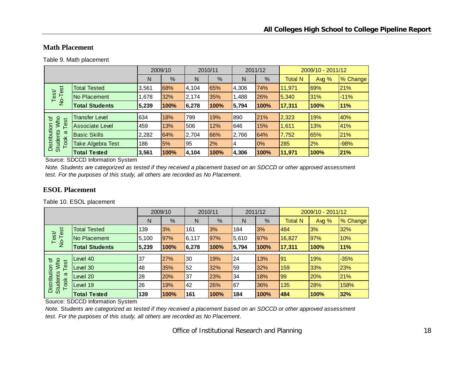#### **Math Placement**

Table 9. Math placement

|                                                |                          |       | 2009/10 |       | 2010/11 |       | 2011/12 |                | 2009/10 - 2011/12 |          |
|------------------------------------------------|--------------------------|-------|---------|-------|---------|-------|---------|----------------|-------------------|----------|
|                                                |                          | N     | %       | N     | %       | N     | %       | <b>Total N</b> | Avg $%$           | % Change |
| est                                            | <b>Total Tested</b>      | 3,561 | 68%     | 4,104 | 65%     | 4,306 | 74%     | 11,971         | 69%               | 21%      |
| Test<br>$\overline{2}$                         | No Placement             | .678  | 32%     | 2,174 | 35%     | 1,488 | 26%     | 5,340          | 31%               | $-11%$   |
|                                                | <b>Total Students</b>    | 5,239 | 100%    | 6,278 | 100%    | 5,794 | 100%    | 17,311         | 100%              | 11%      |
|                                                | <b>Transfer Level</b>    | 634   | 18%     | 799   | 19%     | 890   | 21%     | 2,323          | 19%               | 40%      |
| Who<br>'ত<br>est                               |                          |       |         |       |         |       |         |                |                   |          |
|                                                | <b>Associate Level</b>   | 459   | 13%     | 506   | 12%     | 646   | 15%     | 1,611          | 13%               | 41%      |
| σ                                              | <b>Basic Skills</b>      | 2,282 | 64%     | 2,704 | 66%     | 2,766 | 64%     | 7,752          | 65%               | 21%      |
| Distribution<br><b>Students</b><br><b>Took</b> | <b>Take Algebra Test</b> | 186   | 5%      | 95    | 2%      | 4     | 0%      | 285            | 2%                | $-98%$   |
|                                                | <b>Total Tested</b>      | 3,561 | 100%    | 4,104 | 100%    | 4,306 | 100%    | 11,971         | 100%              | 21%      |

Source: SDCCD Information System

*Note. Students are categorized as tested if they received a placement based on an SDCCD or other approved assessment test. For the purposes of this study, all others are recorded as No Placement.*

#### **ESOL Placement**

Table 10. ESOL placement

|                                         |                       |       | 2009/10    |       | 2010/11 |       | 2011/12 |                | 2009/10 - 2011/12 |          |
|-----------------------------------------|-----------------------|-------|------------|-------|---------|-------|---------|----------------|-------------------|----------|
|                                         |                       | N     | %          | N     | %       | N     | %       | <b>Total N</b> | Avg $%$           | % Change |
|                                         | <b>Total Tested</b>   | 139   | 3%         | 161   | 3%      | 184   | 3%      | 484            | 3%                | 32%      |
| No-Test<br>Test/                        | No Placement          | 5,100 | 97%        | 6,117 | 97%     | 5,610 | 97%     | 16,827         | <b>97%</b>        | 10%      |
|                                         | <b>Total Students</b> | 5,239 | 100%       | 6,278 | 100%    | 5,794 | 100%    | 17,311         | 100%              | 11%      |
|                                         |                       |       |            |       |         |       |         |                |                   |          |
| Who<br>৳<br>$\overline{\omega}$         | Level 40              | 37    | 27%        | 30    | 19%     | 24    | 13%     | 91             | 19%               | $-35%$   |
| قة<br>⊢                                 | Level 30              | 48    | 35%        | 52    | 32%     | 59    | 32%     | 159            | 33%               | 23%      |
| $\boldsymbol{\omega}$                   | Level 20              | 28    | <b>20%</b> | 37    | 23%     | 34    | 18%     | 99             | 20%               | 21%      |
| Distribution<br><b>Students</b><br>Took | Level 19              | 26    | 19%        | 42    | 26%     | 67    | 36%     | 135            | 28%               | 158%     |
|                                         | <b>Total Tested</b>   | 139   | 100%       | 161   | 100%    | 184   | 100%    | 484            | 100%              | 32%      |

Source: SDCCD Information System

*Note. Students are categorized as tested if they received a placement based on an SDCCD or other approved assessment test. For the purposes of this study, all others are recorded as No Placement.*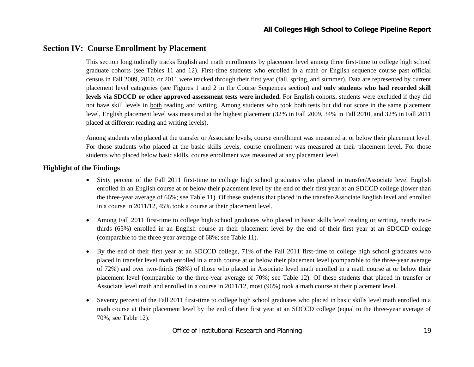## **Section IV: Course Enrollment by Placement**

This section longitudinally tracks English and math enrollments by placement level among three first-time to college high school graduate cohorts (see Tables 11 and 12). First-time students who enrolled in a math or English sequence course past official census in Fall 2009, 2010, or 2011 were tracked through their first year (fall, spring, and summer). Data are represented by current placement level categories (see Figures 1 and 2 in the Course Sequences section) and **only students who had recorded skill levels via SDCCD or other approved assessment tests were included.** For English cohorts, students were excluded if they did not have skill levels in both reading and writing. Among students who took both tests but did not score in the same placement level, English placement level was measured at the highest placement (32% in Fall 2009, 34% in Fall 2010, and 32% in Fall 2011 placed at different reading and writing levels).

Among students who placed at the transfer or Associate levels, course enrollment was measured at or below their placement level. For those students who placed at the basic skills levels, course enrollment was measured at their placement level. For those students who placed below basic skills, course enrollment was measured at any placement level.

#### **Highlight of the Findings**

- Sixty percent of the Fall 2011 first-time to college high school graduates who placed in transfer/Associate level English enrolled in an English course at or below their placement level by the end of their first year at an SDCCD college (lower than the three-year average of 66%; see Table 11). Of these students that placed in the transfer/Associate English level and enrolled in a course in 2011/12, 45% took a course at their placement level.
- e Among Fall 2011 first-time to college high school graduates who placed in basic skills level reading or writing, nearly twothirds (65%) enrolled in an English course at their placement level by the end of their first year at an SDCCD college (comparable to the three-year average of 68%; see Table 11).
- $\bullet$  By the end of their first year at an SDCCD college, 71% of the Fall 2011 first-time to college high school graduates who placed in transfer level math enrolled in a math course at or below their placement level (comparable to the three-year average of 72%) and over two-thirds (68%) of those who placed in Associate level math enrolled in a math course at or below their placement level (comparable to the three-year average of 70%; see Table 12). Of these students that placed in transfer or Associate level math and enrolled in a course in 2011/12, most (96%) took a math course at their placement level.
- e Seventy percent of the Fall 2011 first-time to college high school graduates who placed in basic skills level math enrolled in a math course at their placement level by the end of their first year at an SDCCD college (equal to the three-year average of 70%; see Table 12).